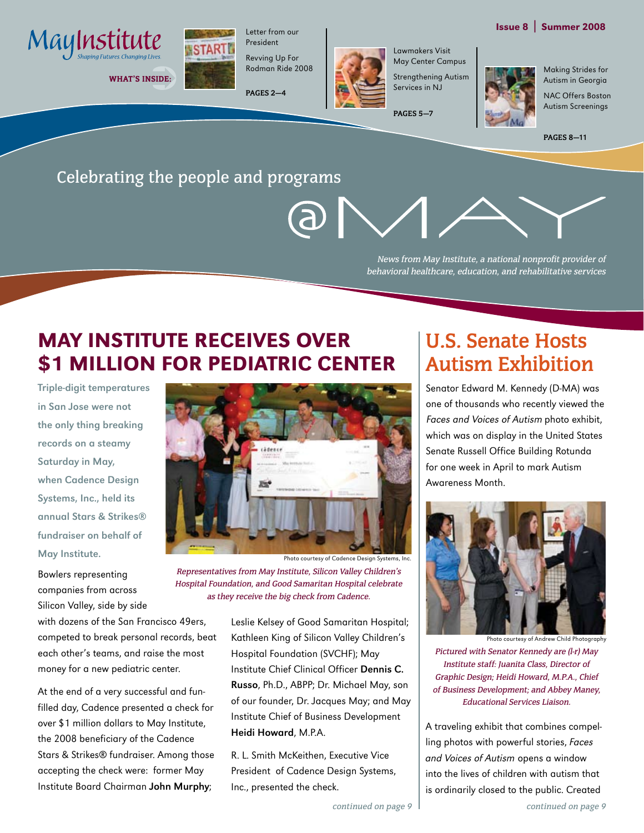

WHAT'S INSIDE:



Letter from our President Revving Up For

Rodman Ride 2008

**PAGES 2—4**



Lawmakers Visit May Center Campus

**PAGES 5—7**

Strengthening Autism

Services in NJ

Making Strides for Autism in Georgia NAC Offers Boston

Issue 8 | Summer 2008

Autism Screenings

**PAGES 8—11**

## Celebrating the people and programs

News from May Institute, a national nonprofit provider of behavioral healthcare, education, and rehabilitative services

# May Institute Receives Over \$1 Million for Pediatric Center

Triple-digit temperatures in San Jose were not the only thing breaking records on a steamy Saturday in May, when Cadence Design Systems, Inc., held its annual Stars & Strikes® fundraiser on behalf of May Institute.

Bowlers representing companies from across Silicon Valley, side by side

with dozens of the San Francisco 49ers, competed to break personal records, beat each other's teams, and raise the most money for a new pediatric center.

At the end of a very successful and funfilled day, Cadence presented a check for over \$1 million dollars to May Institute, the 2008 beneficiary of the Cadence Stars & Strikes® fundraiser. Among those accepting the check were: former May Institute Board Chairman John Murphy;



Representatives from May Institute, Silicon Valley Children's Hospital Foundation, and Good Samaritan Hospital celebrate as they receive the big check from Cadence.

> Leslie Kelsey of Good Samaritan Hospital; Kathleen King of Silicon Valley Children's Hospital Foundation (SVCHF); May Institute Chief Clinical Officer Dennis C. Russo, Ph.D., ABPP; Dr. Michael May, son of our founder, Dr. Jacques May; and May Institute Chief of Business Development Heidi Howard, M.P.A.

R. L. Smith McKeithen, Executive Vice President of Cadence Design Systems, Inc., presented the check.

# **U.S. Senate Hosts Autism Exhibition**

Senator Edward M. Kennedy (D-MA) was one of thousands who recently viewed the Faces and Voices of Autism photo exhibit, which was on display in the United States Senate Russell Office Building Rotunda for one week in April to mark Autism Awareness Month.



Pictured with Senator Kennedy are (l-r) May Institute staff: Juanita Class, Director of Graphic Design; Heidi Howard, M.P.A., Chief of Business Development; and Abbey Maney, Educational Services Liaison. Photo courtesy of Andrew Child Photography

A traveling exhibit that combines compelling photos with powerful stories, Faces and Voices of Autism opens a window into the lives of children with autism that is ordinarily closed to the public. Created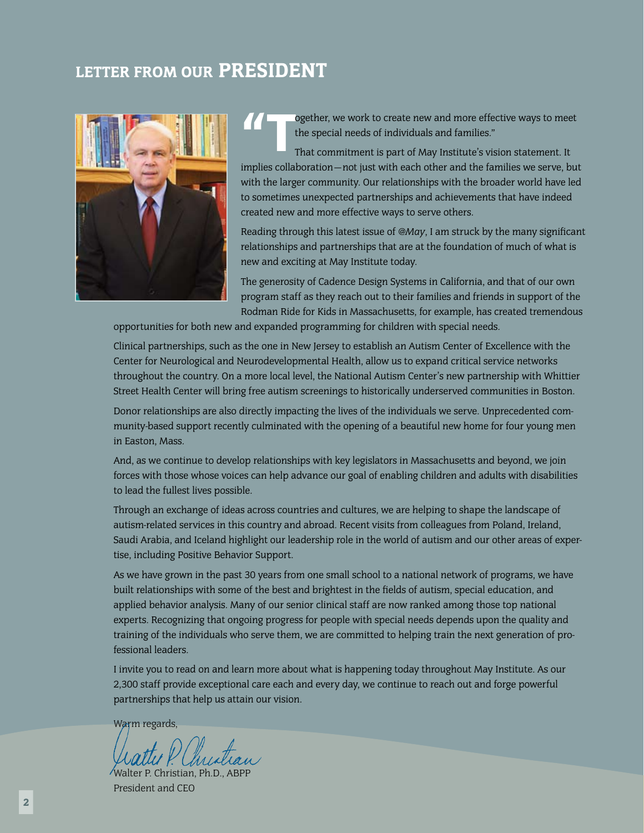# LETTER FROM OUR PRESIDENT





ogether, we work to create new and more effective ways to meet the special needs of individuals and families."

That commitment is part of May Institute's vision statement. It implies collaboration—not just with each other and the families we serve, but with the larger community. Our relationships with the broader world have led to sometimes unexpected partnerships and achievements that have indeed created new and more effective ways to serve others.

Reading through this latest issue of *@May*, I am struck by the many significant relationships and partnerships that are at the foundation of much of what is new and exciting at May Institute today.

The generosity of Cadence Design Systems in California, and that of our own program staff as they reach out to their families and friends in support of the Rodman Ride for Kids in Massachusetts, for example, has created tremendous

opportunities for both new and expanded programming for children with special needs.

Clinical partnerships, such as the one in New Jersey to establish an Autism Center of Excellence with the Center for Neurological and Neurodevelopmental Health, allow us to expand critical service networks throughout the country. On a more local level, the National Autism Center's new partnership with Whittier Street Health Center will bring free autism screenings to historically underserved communities in Boston.

Donor relationships are also directly impacting the lives of the individuals we serve. Unprecedented community-based support recently culminated with the opening of a beautiful new home for four young men in Easton, Mass.

And, as we continue to develop relationships with key legislators in Massachusetts and beyond, we join forces with those whose voices can help advance our goal of enabling children and adults with disabilities to lead the fullest lives possible.

Through an exchange of ideas across countries and cultures, we are helping to shape the landscape of autism-related services in this country and abroad. Recent visits from colleagues from Poland, Ireland, Saudi Arabia, and Iceland highlight our leadership role in the world of autism and our other areas of expertise, including Positive Behavior Support.

As we have grown in the past 30 years from one small school to a national network of programs, we have built relationships with some of the best and brightest in the fields of autism, special education, and applied behavior analysis. Many of our senior clinical staff are now ranked among those top national experts. Recognizing that ongoing progress for people with special needs depends upon the quality and training of the individuals who serve them, we are committed to helping train the next generation of professional leaders.

I invite you to read on and learn more about what is happening today throughout May Institute. As our 2,300 staff provide exceptional care each and every day, we continue to reach out and forge powerful partnerships that help us attain our vision.

Warm regards,

Walter P. Christian, Ph.D., ABPP President and CEO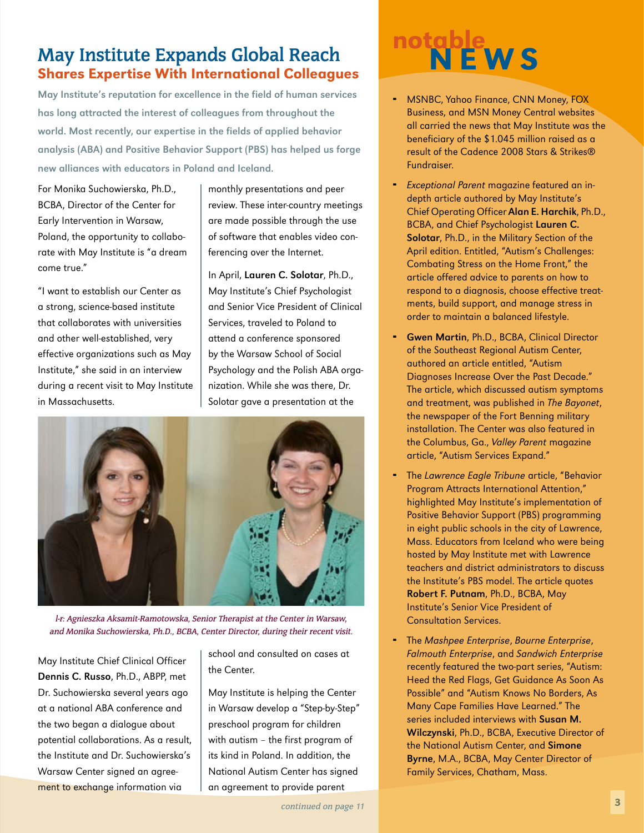## **May Institute Expands Global Reach** Shares Expertise With International Colleagues

May Institute's reputation for excellence in the field of human services has long attracted the interest of colleagues from throughout the world. Most recently, our expertise in the fields of applied behavior analysis (ABA) and Positive Behavior Support (PBS) has helped us forge new alliances with educators in Poland and Iceland.

For Monika Suchowierska, Ph.D., BCBA, Director of the Center for Early Intervention in Warsaw, Poland, the opportunity to collaborate with May Institute is "a dream come true."

"I want to establish our Center as a strong, science-based institute that collaborates with universities and other well-established, very effective organizations such as May Institute," she said in an interview during a recent visit to May Institute in Massachusetts.

monthly presentations and peer review. These inter-country meetings are made possible through the use of software that enables video conferencing over the Internet.

In April, Lauren C. Solotar, Ph.D., May Institute's Chief Psychologist and Senior Vice President of Clinical Services, traveled to Poland to attend a conference sponsored by the Warsaw School of Social Psychology and the Polish ABA organization. While she was there, Dr. Solotar gave a presentation at the



l-r: Agnieszka Aksamit-Ramotowska, Senior Therapist at the Center in Warsaw, and Monika Suchowierska, Ph.D., BCBA, Center Director, during their recent visit.

May Institute Chief Clinical Officer Dennis C. Russo, Ph.D., ABPP, met Dr. Suchowierska several years ago at a national ABA conference and the two began a dialogue about potential collaborations. As a result, the Institute and Dr. Suchowierska's Warsaw Center signed an agreement to exchange information via

school and consulted on cases at the Center.

May Institute is helping the Center in Warsaw develop a "Step-by-Step" preschool program for children with autism – the first program of its kind in Poland. In addition, the National Autism Center has signed an agreement to provide parent

# notable<br>N E W S

- MSNBC, Yahoo Finance, CNN Money, FOX Business, and MSN Money Central websites all carried the news that May Institute was the beneficiary of the \$1.045 million raised as a result of the Cadence 2008 Stars & Strikes® Fundraiser. ¨
- **Exceptional Parent magazine featured an in**depth article authored by May Institute's Chief Operating Officer Alan E. Harchik, Ph.D., BCBA, and Chief Psychologist Lauren C. Solotar, Ph.D., in the Military Section of the April edition. Entitled, "Autism's Challenges: Combating Stress on the Home Front," the article offered advice to parents on how to respond to a diagnosis, choose effective treatments, build support, and manage stress in order to maintain a balanced lifestyle.
- Gwen Martin, Ph.D., BCBA, Clinical Director of the Southeast Regional Autism Center, authored an article entitled, "Autism Diagnoses Increase Over the Past Decade." The article, which discussed autism symptoms and treatment, was published in The Bayonet, the newspaper of the Fort Benning military installation. The Center was also featured in the Columbus, Ga., Valley Parent magazine article, "Autism Services Expand." ¨
- The Lawrence Eagle Tribune article, "Behavior Program Attracts International Attention," highlighted May Institute's implementation of Positive Behavior Support (PBS) programming in eight public schools in the city of Lawrence, Mass. Educators from Iceland who were being hosted by May Institute met with Lawrence teachers and district administrators to discuss the Institute's PBS model. The article quotes Robert F. Putnam, Ph.D., BCBA, May Institute's Senior Vice President of Consultation Services. ¨
- The Mashpee Enterprise, Bourne Enterprise, Falmouth Enterprise, and Sandwich Enterprise recently featured the two-part series, "Autism: Heed the Red Flags, Get Guidance As Soon As Possible" and "Autism Knows No Borders, As Many Cape Families Have Learned." The series included interviews with Susan M. Wilczynski, Ph.D., BCBA, Executive Director of the National Autism Center, and Simone Byrne, M.A., BCBA, May Center Director of Family Services, Chatham, Mass.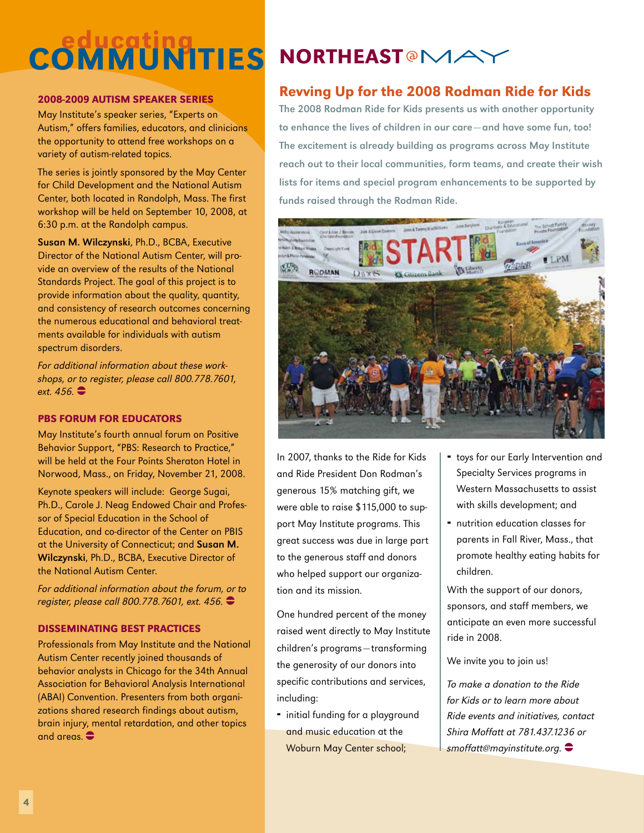# **COMMUNITIES**

## 2008-2009 AUTISM SPEAKER SERIES

May Institute's speaker series, "Experts on Autism," offers families, educators, and clinicians the opportunity to attend free workshops on a variety of autism-related topics.

The series is jointly sponsored by the May Center for Child Development and the National Autism Center, both located in Randolph, Mass. The first workshop will be held on September 10, 2008, at 6:30 p.m. at the Randolph campus.

Susan M. Wilczynski, Ph.D., BCBA, Executive Director of the National Autism Center, will provide an overview of the results of the National Standards Project. The goal of this project is to provide information about the quality, quantity, and consistency of research outcomes concerning the numerous educational and behavioral treatments available for individuals with autism spectrum disorders.

For additional information about these workshops, or to register, please call 800.778.7601, ext.  $456.$ 

## PBS FORUM FOR EDUCATORS

May Institute's fourth annual forum on Positive Behavior Support, "PBS: Research to Practice," will be held at the Four Points Sheraton Hotel in Norwood, Mass., on Friday, November 21, 2008.

Keynote speakers will include: George Sugai, Ph.D., Carole J. Neag Endowed Chair and Professor of Special Education in the School of Education, and co-director of the Center on PBIS at the University of Connecticut; and Susan M. Wilczynski, Ph.D., BCBA, Executive Director of the National Autism Center.

For additional information about the forum, or to register, please call 800.778.7601, ext. 456.

### DISSEMINATING BEST PRACTICES

Professionals from May Institute and the National Autism Center recently joined thousands of behavior analysts in Chicago for the 34th Annual Association for Behavioral Analysis International (ABAI) Convention. Presenters from both organizations shared research findings about autism, brain injury, mental retardation, and other topics and areas.  $\bullet$ 

# **NORTHEAST<sup>@</sup>MAY**

## Revving Up for the 2008 Rodman Ride for Kids

The 2008 Rodman Ride for Kids presents us with another opportunity to enhance the lives of children in our care—and have some fun, too! The excitement is already building as programs across May Institute reach out to their local communities, form teams, and create their wish lists for items and special program enhancements to be supported by funds raised through the Rodman Ride.



In 2007, thanks to the Ride for Kids and Ride President Don Rodman's generous 15% matching gift, we were able to raise \$115,000 to support May Institute programs. This great success was due in large part to the generous staff and donors who helped support our organization and its mission.

One hundred percent of the money raised went directly to May Institute children's programs—transforming the generosity of our donors into specific contributions and services, including:

• initial funding for a playground and music education at the Woburn May Center school;

- **•** toys for our Early Intervention and Specialty Services programs in Western Massachusetts to assist with skills development; and
- nutrition education classes for parents in Fall River, Mass., that promote healthy eating habits for children.

With the support of our donors, sponsors, and staff members, we anticipate an even more successful ride in 2008.

We invite you to join us!

To make a donation to the Ride for Kids or to learn more about Ride events and initiatives, contact Shira Moffatt at 781.437.1236 or  $s$ moffatt@mayinstitute.org.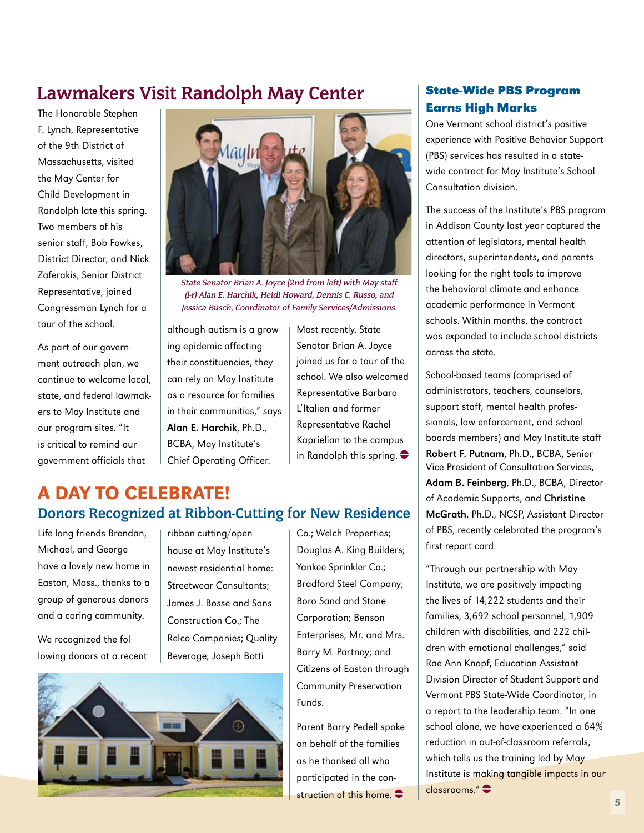# **Lawmakers Visit Randolph May Center**

The Honorable Stephen F. Lynch, Representative of the 9th District of Massachusetts, visited the May Center for Child Development in Randolph late this spring. Two members of his senior staff, Bob Fowkes, District Director, and Nick Zaferakis, Senior District Representative, joined Congressman Lynch for a tour of the school.

As part of our government outreach plan, we continue to welcome local, state, and federal lawmakers to May Institute and our program sites. "It is critical to remind our government officials that



State Senator Brian A. Joyce (2nd from left) with May staff (l-r) Alan E. Harchik, Heidi Howard, Dennis C. Russo, and Jessica Busch, Coordinator of Family Services/Admissions.

although autism is a growing epidemic affecting their constituencies, they can rely on May Institute as a resource for families in their communities," says Alan E. Harchik, Ph.D., BCBA, May Institute's Chief Operating Officer.

Most recently, State Senator Brian A. Joyce joined us for a tour of the school. We also welcomed Representative Barbara L'Italien and former Representative Rachel Kaprielian to the campus in Randolph this spring.  $\bullet$ 

# A Day to Celebrate! **Donors Recognized at Ribbon-Cutting for New Residence**

Life-long friends Brendan, Michael, and George have a lovely new home in Easton, Mass., thanks to a group of generous donors and a caring community.

We recognized the following donors at a recent

ribbon-cutting/open house at May Institute's newest residential home: Streetwear Consultants; James J. Bosse and Sons Construction Co.; The Relco Companies; Quality Beverage; Joseph Botti

Co.; Welch Properties; Douglas A. King Builders; Yankee Sprinkler Co.; Bradford Steel Company; Boro Sand and Stone Corporation; Benson Enterprises; Mr. and Mrs. Barry M. Portnoy; and Citizens of Easton through Community Preservation Funds.

Parent Barry Pedell spoke on behalf of the families as he thanked all who participated in the construction of this home.  $\bullet$ 

## **State-Wide PBS Program Earns High Marks**

One Vermont school district's positive experience with Positive Behavior Support (PBS) services has resulted in a statewide contract for May Institute's School Consultation division.

The success of the Institute's PBS program in Addison County last year captured the attention of legislators, mental health directors, superintendents, and parents looking for the right tools to improve the behavioral climate and enhance academic performance in Vermont schools. Within months, the contract was expanded to include school districts across the state.

School-based teams (comprised of administrators, teachers, counselors, support staff, mental health professionals, law enforcement, and school boards members) and May Institute staff Robert F. Putnam, Ph.D., BCBA, Senior Vice President of Consultation Services, Adam B. Feinberg, Ph.D., BCBA, Director of Academic Supports, and Christine McGrath, Ph.D., NCSP, Assistant Director of PBS, recently celebrated the program's first report card.

"Through our partnership with May Institute, we are positively impacting the lives of 14,222 students and their families, 3,692 school personnel, 1,909 children with disabilities, and 222 children with emotional challenges," said Rae Ann Knopf, Education Assistant Division Director of Student Support and Vermont PBS State-Wide Coordinator, in a report to the leadership team. "In one school alone, we have experienced a 64% reduction in out-of-classroom referrals, which tells us the training led by May Institute is making tangible impacts in our  $classrooms$ "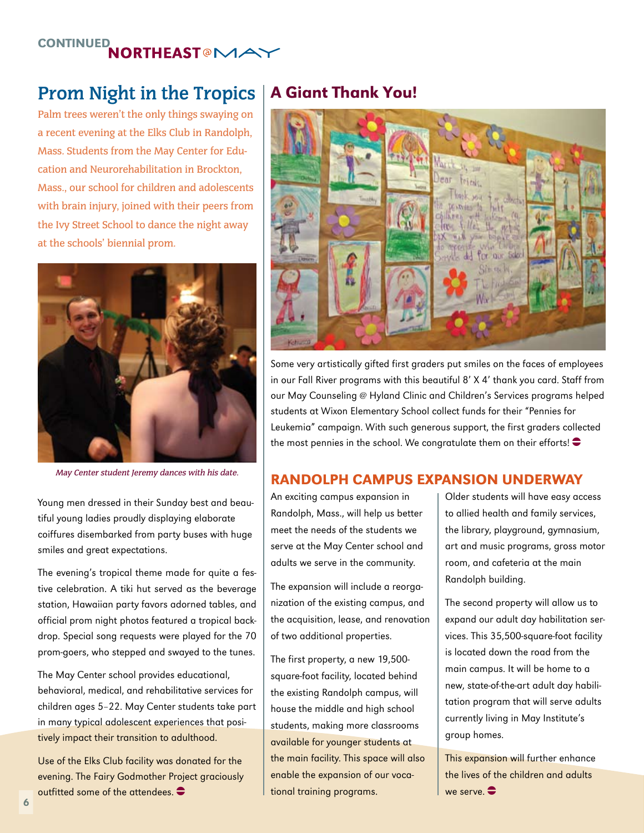# CONTINUED<br>MORTHEAST®MAY

# **Prom Night in the Tropics**

Palm trees weren't the only things swaying on a recent evening at the Elks Club in Randolph, Mass. Students from the May Center for Education and Neurorehabilitation in Brockton, Mass., our school for children and adolescents with brain injury, joined with their peers from the Ivy Street School to dance the night away at the schools' biennial prom.



May Center student Jeremy dances with his date.

Young men dressed in their Sunday best and beautiful young ladies proudly displaying elaborate coiffures disembarked from party buses with huge smiles and great expectations.

The evening's tropical theme made for quite a festive celebration. A tiki hut served as the beverage station, Hawaiian party favors adorned tables, and official prom night photos featured a tropical backdrop. Special song requests were played for the 70 prom-goers, who stepped and swayed to the tunes.

The May Center school provides educational, behavioral, medical, and rehabilitative services for children ages 5–22. May Center students take part in many typical adolescent experiences that positively impact their transition to adulthood.

Use of the Elks Club facility was donated for the evening. The Fairy Godmother Project graciously outfitted some of the attendees.  $\bullet$ 

## A Giant Thank You!



Some very artistically gifted first graders put smiles on the faces of employees in our Fall River programs with this beautiful 8' X 4' thank you card. Staff from our May Counseling @ Hyland Clinic and Children's Services programs helped students at Wixon Elementary School collect funds for their "Pennies for Leukemia" campaign. With such generous support, the first graders collected the most pennies in the school. We congratulate them on their efforts!  $\bullet$ 

## randolph campus expansion underway

An exciting campus expansion in Randolph, Mass., will help us better meet the needs of the students we serve at the May Center school and adults we serve in the community.

The expansion will include a reorganization of the existing campus, and the acquisition, lease, and renovation of two additional properties.

The first property, a new 19,500 square-foot facility, located behind the existing Randolph campus, will house the middle and high school students, making more classrooms available for younger students at the main facility. This space will also enable the expansion of our vocational training programs.

Older students will have easy access to allied health and family services, the library, playground, gymnasium, art and music programs, gross motor room, and cafeteria at the main Randolph building.

The second property will allow us to expand our adult day habilitation services. This 35,500-square-foot facility is located down the road from the main campus. It will be home to a new, state-of-the-art adult day habilitation program that will serve adults currently living in May Institute's group homes.

This expansion will further enhance the lives of the children and adults we serve.  $\bullet$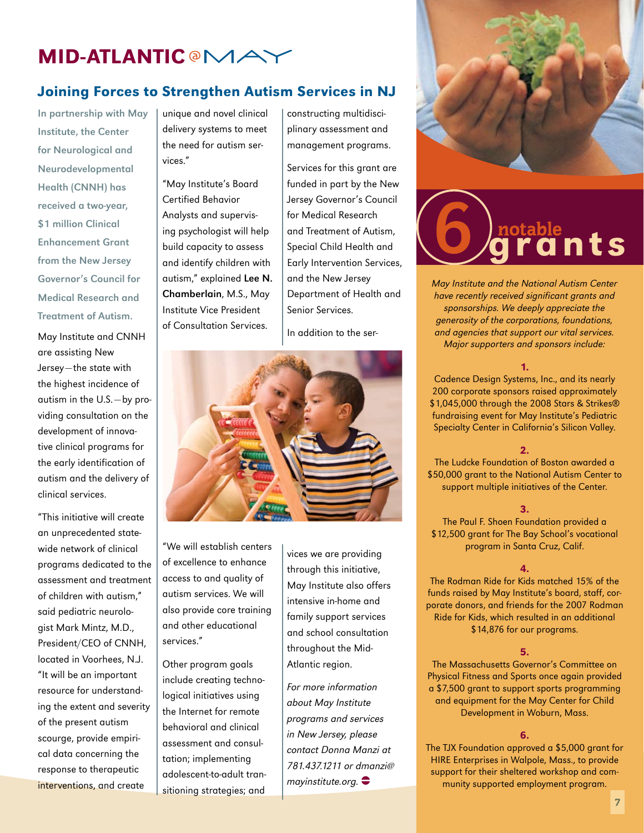# **MID-ATLANTIC @MAY**

## Joining Forces to Strengthen Autism Services in NJ

In partnership with May Institute, the Center for Neurological and Neurodevelopmental Health (CNNH) has received a two-year, \$1 million Clinical Enhancement Grant from the New Jersey Governor's Council for Medical Research and Treatment of Autism.

May Institute and CNNH are assisting New Jersey—the state with the highest incidence of autism in the U.S.—by providing consultation on the development of innovative clinical programs for the early identification of autism and the delivery of clinical services.

"This initiative will create an unprecedented statewide network of clinical programs dedicated to the assessment and treatment of children with autism," said pediatric neurologist Mark Mintz, M.D., President/CEO of CNNH, located in Voorhees, N.J. "It will be an important resource for understanding the extent and severity of the present autism scourge, provide empirical data concerning the response to therapeutic interventions, and create

unique and novel clinical delivery systems to meet the need for autism services."

"May Institute's Board Certified Behavior Analysts and supervising psychologist will help build capacity to assess and identify children with autism," explained Lee N. Chamberlain, M.S., May Institute Vice President of Consultation Services.

constructing multidisciplinary assessment and management programs.

Services for this grant are funded in part by the New Jersey Governor's Council for Medical Research and Treatment of Autism, Special Child Health and Early Intervention Services, and the New Jersey Department of Health and Senior Services.

In addition to the ser-



"We will establish centers of excellence to enhance access to and quality of autism services. We will also provide core training and other educational services."

Other program goals include creating technological initiatives using the Internet for remote behavioral and clinical assessment and consultation; implementing adolescent-to-adult transitioning strategies; and

vices we are providing through this initiative, May Institute also offers intensive in-home and family support services and school consultation throughout the Mid-Atlantic region.

For more information about May Institute programs and services in New Jersey, please contact Donna Manzi at 781.437.1211 or dmanzi@ mayinstitute.org.  $\bullet$ 



# nts

May Institute and the National Autism Center have recently received significant grants and sponsorships. We deeply appreciate the generosity of the corporations, foundations, and agencies that support our vital services. Major supporters and sponsors include:

#### 1.

Cadence Design Systems, Inc., and its nearly 200 corporate sponsors raised approximately \$1,045,000 through the 2008 Stars & Strikes® fundraising event for May Institute's Pediatric Specialty Center in California's Silicon Valley.

#### 2.

The Ludcke Foundation of Boston awarded a \$50,000 grant to the National Autism Center to support multiple initiatives of the Center.

#### 3.

The Paul F. Shoen Foundation provided a \$12,500 grant for The Bay School's vocational program in Santa Cruz, Calif.

#### 4.

The Rodman Ride for Kids matched 15% of the funds raised by May Institute's board, staff, corporate donors, and friends for the 2007 Rodman Ride for Kids, which resulted in an additional \$14,876 for our programs.

#### 5.

The Massachusetts Governor's Committee on Physical Fitness and Sports once again provided a \$7,500 grant to support sports programming and equipment for the May Center for Child Development in Woburn, Mass.

#### 6.

The TJX Foundation approved a \$5,000 grant for HIRE Enterprises in Walpole, Mass., to provide support for their sheltered workshop and community supported employment program.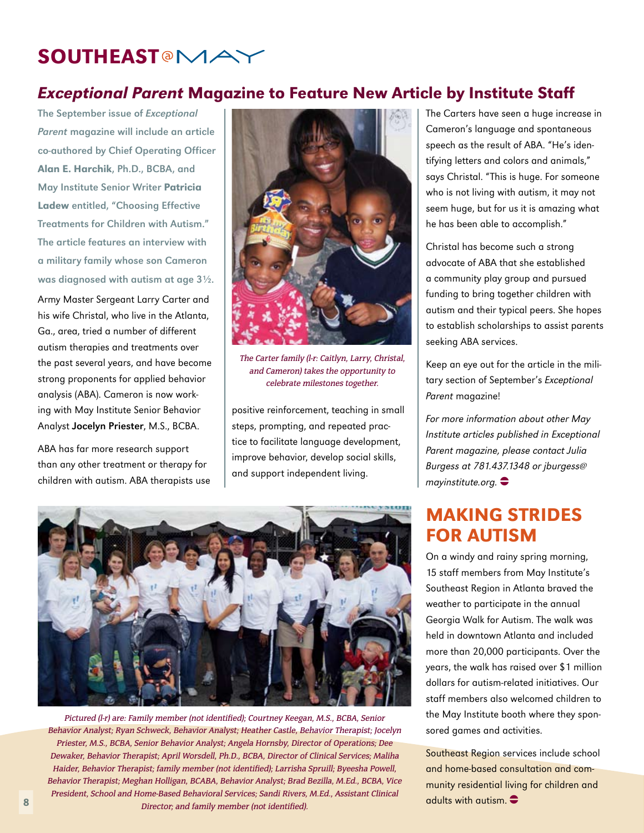# **SOUTHEAST<sup>@</sup>MA**

## Exceptional Parent Magazine to Feature New Article by Institute Staff

The September issue of Exceptional Parent magazine will include an article co-authored by Chief Operating Officer Alan E. Harchik, Ph.D., BCBA, and May Institute Senior Writer Patricia Ladew entitled, "Choosing Effective Treatments for Children with Autism." The article features an interview with a military family whose son Cameron was diagnosed with autism at age 3½.

Army Master Sergeant Larry Carter and his wife Christal, who live in the Atlanta, Ga., area, tried a number of different autism therapies and treatments over the past several years, and have become strong proponents for applied behavior analysis (ABA). Cameron is now working with May Institute Senior Behavior Analyst Jocelyn Priester, M.S., BCBA.

ABA has far more research support than any other treatment or therapy for children with autism. ABA therapists use



The Carter family (l-r: Caitlyn, Larry, Christal, and Cameron) takes the opportunity to celebrate milestones together.

positive reinforcement, teaching in small steps, prompting, and repeated practice to facilitate language development, improve behavior, develop social skills, and support independent living.

The Carters have seen a huge increase in Cameron's language and spontaneous speech as the result of ABA. "He's identifying letters and colors and animals," says Christal. "This is huge. For someone who is not living with autism, it may not seem huge, but for us it is amazing what he has been able to accomplish."

Christal has become such a strong advocate of ABA that she established a community play group and pursued funding to bring together children with autism and their typical peers. She hopes to establish scholarships to assist parents seeking ABA services.

Keep an eye out for the article in the military section of September's Exceptional Parent magazine!

For more information about other May Institute articles published in Exceptional Parent magazine, please contact Julia Burgess at 781.437.1348 or jburgess@ mayinstitute.org.  $\bullet$ 

## Making Strides for Autism

On a windy and rainy spring morning, 15 staff members from May Institute's Southeast Region in Atlanta braved the weather to participate in the annual Georgia Walk for Autism. The walk was held in downtown Atlanta and included more than 20,000 participants. Over the years, the walk has raised over \$1 million dollars for autism-related initiatives. Our staff members also welcomed children to the May Institute booth where they sponsored games and activities.

Southeast Region services include school and home-based consultation and community residential living for children and adults with autism.  $\bullet$ 



Pictured (l-r) are: Family member (not identified); Courtney Keegan, M.S., BCBA, Senior Behavior Analyst; Ryan Schweck, Behavior Analyst; Heather Castle, Behavior Therapist; Jocelyn Priester, M.S., BCBA, Senior Behavior Analyst; Angela Hornsby, Director of Operations; Dee Dewaker, Behavior Therapist; April Worsdell, Ph.D., BCBA, Director of Clinical Services; Maliha Haider, Behavior Therapist; family member (not identified); Larrisha Spruill; Byeesha Powell, Behavior Therapist; Meghan Holligan, BCABA, Behavior Analyst; Brad Bezilla, M.Ed., BCBA, Vice President, School and Home-Based Behavioral Services; Sandi Rivers, M.Ed., Assistant Clinical Director; and family member (not identified).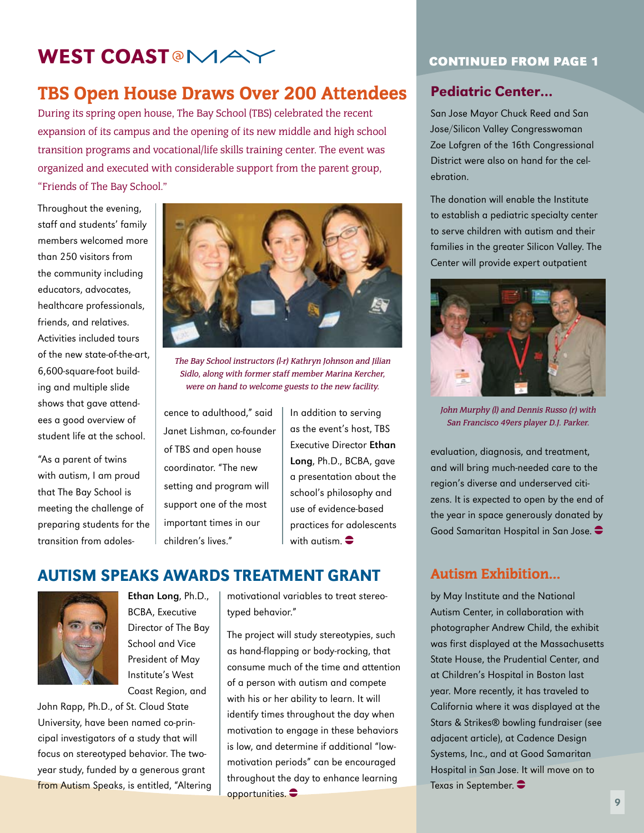# WEST COAST<sup>®</sup>MA

## TBS Open House Draws Over 200 Attendees

During its spring open house, The Bay School (TBS) celebrated the recent expansion of its campus and the opening of its new middle and high school transition programs and vocational/life skills training center. The event was organized and executed with considerable support from the parent group, "Friends of The Bay School."

Throughout the evening, staff and students' family members welcomed more than 250 visitors from the community including educators, advocates, healthcare professionals, friends, and relatives. Activities included tours of the new state-of-the-art, 6,600-square-foot building and multiple slide shows that gave attendees a good overview of student life at the school.

"As a parent of twins with autism, I am proud that The Bay School is meeting the challenge of preparing students for the transition from adoles-



The Bay School instructors (l-r) Kathryn Johnson and Jilian Sidlo, along with former staff member Marina Kercher, were on hand to welcome guests to the new facility.

cence to adulthood," said Janet Lishman, co-founder of TBS and open house coordinator. "The new setting and program will support one of the most important times in our children's lives."

In addition to serving as the event's host, TBS Executive Director Ethan Long, Ph.D., BCBA, gave a presentation about the school's philosophy and use of evidence-based practices for adolescents with autism.  $\bullet$ 

## Autism Speaks Awards Treatment Grant



Ethan Long, Ph.D., BCBA, Executive Director of The Bay School and Vice President of May Institute's West Coast Region, and

John Rapp, Ph.D., of St. Cloud State University, have been named co-principal investigators of a study that will focus on stereotyped behavior. The twoyear study, funded by a generous grant from Autism Speaks, is entitled, "Altering

motivational variables to treat stereotyped behavior."

The project will study stereotypies, such as hand-flapping or body-rocking, that consume much of the time and attention of a person with autism and compete with his or her ability to learn. It will identify times throughout the day when motivation to engage in these behaviors is low, and determine if additional "lowmotivation periods" can be encouraged throughout the day to enhance learning opportunities.  $\bullet$ 

## **Continued from page 1**

## Pediatric Center…

San Jose Mayor Chuck Reed and San Jose/Silicon Valley Congresswoman Zoe Lofgren of the 16th Congressional District were also on hand for the celebration.

The donation will enable the Institute to establish a pediatric specialty center to serve children with autism and their families in the greater Silicon Valley. The Center will provide expert outpatient



John Murphy (l) and Dennis Russo (r) with San Francisco 49ers player D.J. Parker.

evaluation, diagnosis, and treatment, and will bring much-needed care to the region's diverse and underserved citizens. It is expected to open by the end of the year in space generously donated by Good Samaritan Hospital in San Jose.  $\bullet$ 

## Autism Exhibition…

by May Institute and the National Autism Center, in collaboration with photographer Andrew Child, the exhibit was first displayed at the Massachusetts State House, the Prudential Center, and at Children's Hospital in Boston last year. More recently, it has traveled to California where it was displayed at the Stars & Strikes® bowling fundraiser (see adjacent article), at Cadence Design Systems, Inc., and at Good Samaritan Hospital in San Jose. It will move on to Texas in September.  $\bullet$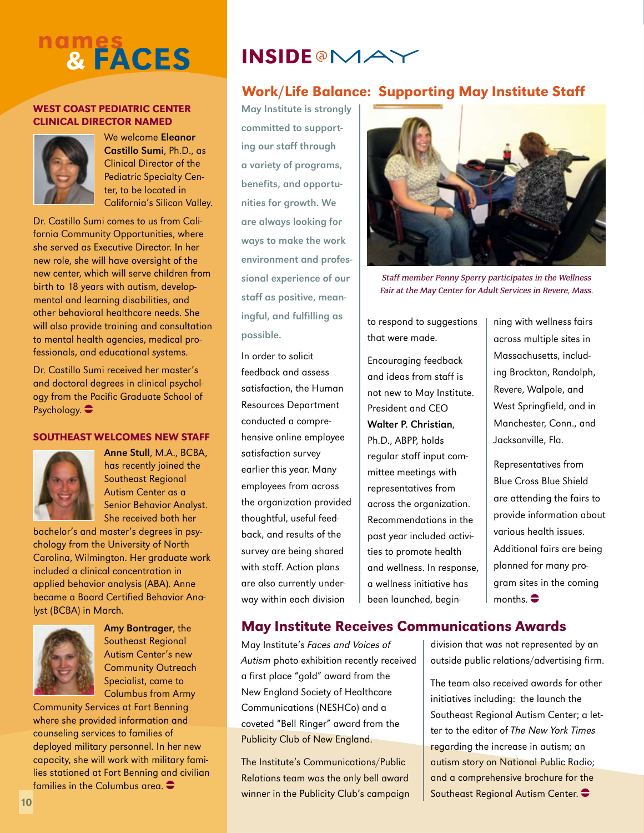# nam<u>es</u> & faces

### West Coast Pediatric center clinical director named



We welcome Eleanor Castillo Sumi, Ph.D., as Clinical Director of the Pediatric Specialty Center, to be located in California's Silicon Valley.

Dr. Castillo Sumi comes to us from California Community Opportunities, where she served as Executive Director. In her new role, she will have oversight of the new center, which will serve children from birth to 18 years with autism, developmental and learning disabilities, and other behavioral healthcare needs. She will also provide training and consultation to mental health agencies, medical professionals, and educational systems.

Dr. Castillo Sumi received her master's and doctoral degrees in clinical psychology from the Pacific Graduate School of Psychology.  $\bullet$ 

#### Southeast Welcomes New Staff



Anne Stull, M.A., BCBA, has recently joined the Southeast Regional Autism Center as a Senior Behavior Analyst. She received both her

bachelor's and master's degrees in psychology from the University of North Carolina, Wilmington. Her graduate work included a clinical concentration in applied behavior analysis (ABA). Anne became a Board Certified Behavior Analyst (BCBA) in March.



Amy Bontrager, the Southeast Regional Autism Center's new Community Outreach Specialist, came to Columbus from Army

Community Services at Fort Benning where she provided information and counseling services to families of deployed military personnel. In her new capacity, she will work with military families stationed at Fort Benning and civilian families in the Columbus area.  $\bullet$ 

# **INSIDE @MA`**

## Work/Life Balance: Supporting May Institute Staff

May Institute is strongly committed to supporting our staff through a variety of programs, benefits, and opportunities for growth. We are always looking for ways to make the work environment and professional experience of our staff as positive, meaningful, and fulfilling as possible.

In order to solicit feedback and assess satisfaction, the Human Resources Department conducted a comprehensive online employee satisfaction survey earlier this year. Many employees from across the organization provided thoughtful, useful feedback, and results of the survey are being shared with staff. Action plans are also currently underway within each division



Staff member Penny Sperry participates in the Wellness Fair at the May Center for Adult Services in Revere, Mass.

to respond to suggestions that were made.

Encouraging feedback and ideas from staff is not new to May Institute. President and CEO Walter P. Christian, Ph.D., ABPP, holds regular staff input committee meetings with representatives from across the organization. Recommendations in the past year included activities to promote health and wellness. In response, a wellness initiative has been launched, beginning with wellness fairs across multiple sites in Massachusetts, including Brockton, Randolph, Revere, Walpole, and West Springfield, and in Manchester, Conn., and Jacksonville, Fla.

Representatives from Blue Cross Blue Shield are attending the fairs to provide information about various health issues. Additional fairs are being planned for many program sites in the coming months.  $\bullet$ 

## May Institute Receives Communications Awards

May Institute's Faces and Voices of Autism photo exhibition recently received a first place "gold" award from the New England Society of Healthcare Communications (NESHCo) and a coveted "Bell Ringer" award from the Publicity Club of New England.

The Institute's Communications/Public Relations team was the only bell award winner in the Publicity Club's campaign division that was not represented by an outside public relations/advertising firm.

The team also received awards for other initiatives including: the launch the Southeast Regional Autism Center; a letter to the editor of The New York Times regarding the increase in autism; an autism story on National Public Radio; and a comprehensive brochure for the Southeast Regional Autism Center.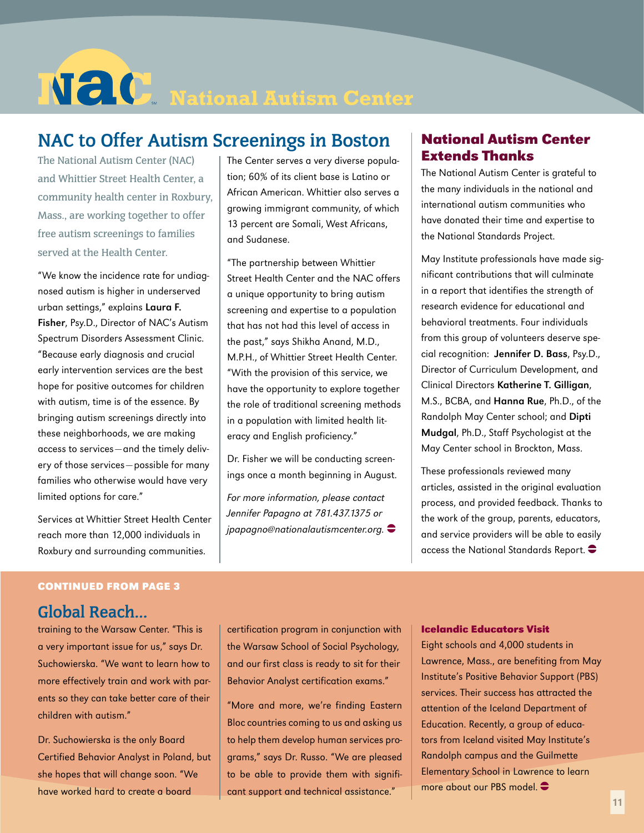# **NECO** National Autism Center

# **NAC to Offer Autism Screenings in Boston**

The National Autism Center (NAC) and Whittier Street Health Center, a community health center in Roxbury, Mass., are working together to offer free autism screenings to families served at the Health Center.

"We know the incidence rate for undiagnosed autism is higher in underserved urban settings," explains Laura F. Fisher, Psy.D., Director of NAC's Autism Spectrum Disorders Assessment Clinic. "Because early diagnosis and crucial early intervention services are the best hope for positive outcomes for children with autism, time is of the essence. By bringing autism screenings directly into these neighborhoods, we are making access to services—and the timely delivery of those services—possible for many families who otherwise would have very limited options for care."

Services at Whittier Street Health Center reach more than 12,000 individuals in Roxbury and surrounding communities.

The Center serves a very diverse population; 60% of its client base is Latino or African American. Whittier also serves a growing immigrant community, of which 13 percent are Somali, West Africans, and Sudanese.

"The partnership between Whittier Street Health Center and the NAC offers a unique opportunity to bring autism screening and expertise to a population that has not had this level of access in the past," says Shikha Anand, M.D., M.P.H., of Whittier Street Health Center. "With the provision of this service, we have the opportunity to explore together the role of traditional screening methods in a population with limited health literacy and English proficiency."

Dr. Fisher we will be conducting screenings once a month beginning in August.

For more information, please contact Jennifer Papagno at 781.437.1375 or  $ipapaqno@national autism center.org.$ 

## **National Autism Center Extends Thanks**

The National Autism Center is grateful to the many individuals in the national and international autism communities who have donated their time and expertise to the National Standards Project.

May Institute professionals have made significant contributions that will culminate in a report that identifies the strength of research evidence for educational and behavioral treatments. Four individuals from this group of volunteers deserve special recognition: Jennifer D. Bass, Psy.D., Director of Curriculum Development, and Clinical Directors Katherine T. Gilligan, M.S., BCBA, and Hanna Rue, Ph.D., of the Randolph May Center school; and Dipti Mudgal, Ph.D., Staff Psychologist at the May Center school in Brockton, Mass.

These professionals reviewed many articles, assisted in the original evaluation process, and provided feedback. Thanks to the work of the group, parents, educators, and service providers will be able to easily access the National Standards Report.  $\bullet$ 

## **Continued from page 3**

## **Global Reach…**

training to the Warsaw Center. "This is a very important issue for us," says Dr. Suchowierska. "We want to learn how to more effectively train and work with parents so they can take better care of their children with autism."

Dr. Suchowierska is the only Board Certified Behavior Analyst in Poland, but she hopes that will change soon. "We have worked hard to create a board

certification program in conjunction with the Warsaw School of Social Psychology, and our first class is ready to sit for their Behavior Analyst certification exams."

"More and more, we're finding Eastern Bloc countries coming to us and asking us to help them develop human services programs," says Dr. Russo. "We are pleased to be able to provide them with significant support and technical assistance."

### **Icelandic Educators Visit**

Eight schools and 4,000 students in Lawrence, Mass., are benefiting from May Institute's Positive Behavior Support (PBS) services. Their success has attracted the attention of the Iceland Department of Education. Recently, a group of educators from Iceland visited May Institute's Randolph campus and the Guilmette Elementary School in Lawrence to learn more about our PBS model.  $\bullet$